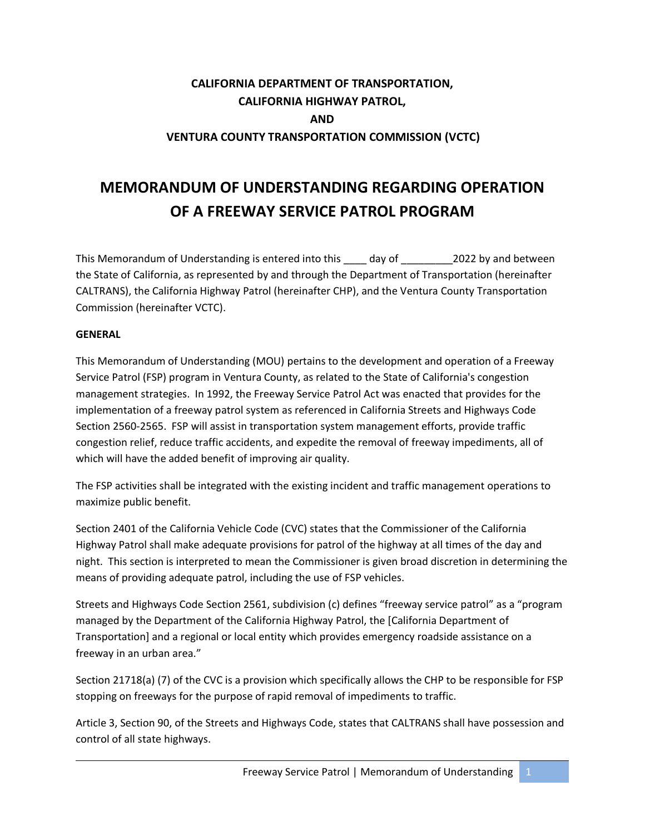## **CALIFORNIA DEPARTMENT OF TRANSPORTATION, CALIFORNIA HIGHWAY PATROL, AND VENTURA COUNTY TRANSPORTATION COMMISSION (VCTC)**

# **MEMORANDUM OF UNDERSTANDING REGARDING OPERATION OF A FREEWAY SERVICE PATROL PROGRAM**

This Memorandum of Understanding is entered into this \_\_\_\_ day of \_\_\_\_\_\_\_\_\_\_\_2022 by and between the State of California, as represented by and through the Department of Transportation (hereinafter CALTRANS), the California Highway Patrol (hereinafter CHP), and the Ventura County Transportation Commission (hereinafter VCTC).

#### **GENERAL**

This Memorandum of Understanding (MOU) pertains to the development and operation of a Freeway Service Patrol (FSP) program in Ventura County, as related to the State of California's congestion management strategies. In 1992, the Freeway Service Patrol Act was enacted that provides for the implementation of a freeway patrol system as referenced in California Streets and Highways Code Section 2560-2565. FSP will assist in transportation system management efforts, provide traffic congestion relief, reduce traffic accidents, and expedite the removal of freeway impediments, all of which will have the added benefit of improving air quality.

The FSP activities shall be integrated with the existing incident and traffic management operations to maximize public benefit.

Section 2401 of the California Vehicle Code (CVC) states that the Commissioner of the California Highway Patrol shall make adequate provisions for patrol of the highway at all times of the day and night. This section is interpreted to mean the Commissioner is given broad discretion in determining the means of providing adequate patrol, including the use of FSP vehicles.

Streets and Highways Code Section 2561, subdivision (c) defines "freeway service patrol" as a "program managed by the Department of the California Highway Patrol, the [California Department of Transportation] and a regional or local entity which provides emergency roadside assistance on a freeway in an urban area."

Section 21718(a) (7) of the CVC is a provision which specifically allows the CHP to be responsible for FSP stopping on freeways for the purpose of rapid removal of impediments to traffic.

Article 3, Section 90, of the Streets and Highways Code, states that CALTRANS shall have possession and control of all state highways.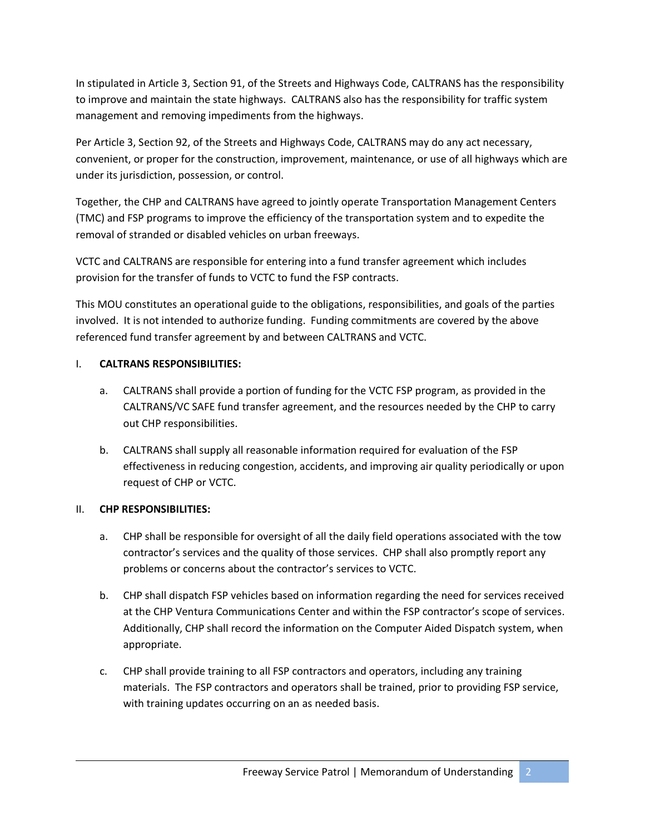In stipulated in Article 3, Section 91, of the Streets and Highways Code, CALTRANS has the responsibility to improve and maintain the state highways. CALTRANS also has the responsibility for traffic system management and removing impediments from the highways.

Per Article 3, Section 92, of the Streets and Highways Code, CALTRANS may do any act necessary, convenient, or proper for the construction, improvement, maintenance, or use of all highways which are under its jurisdiction, possession, or control.

Together, the CHP and CALTRANS have agreed to jointly operate Transportation Management Centers (TMC) and FSP programs to improve the efficiency of the transportation system and to expedite the removal of stranded or disabled vehicles on urban freeways.

VCTC and CALTRANS are responsible for entering into a fund transfer agreement which includes provision for the transfer of funds to VCTC to fund the FSP contracts.

This MOU constitutes an operational guide to the obligations, responsibilities, and goals of the parties involved. It is not intended to authorize funding. Funding commitments are covered by the above referenced fund transfer agreement by and between CALTRANS and VCTC.

### I. **CALTRANS RESPONSIBILITIES:**

- a. CALTRANS shall provide a portion of funding for the VCTC FSP program, as provided in the CALTRANS/VC SAFE fund transfer agreement, and the resources needed by the CHP to carry out CHP responsibilities.
- b. CALTRANS shall supply all reasonable information required for evaluation of the FSP effectiveness in reducing congestion, accidents, and improving air quality periodically or upon request of CHP or VCTC.

#### II. **CHP RESPONSIBILITIES:**

- a. CHP shall be responsible for oversight of all the daily field operations associated with the tow contractor's services and the quality of those services. CHP shall also promptly report any problems or concerns about the contractor's services to VCTC.
- b. CHP shall dispatch FSP vehicles based on information regarding the need for services received at the CHP Ventura Communications Center and within the FSP contractor's scope of services. Additionally, CHP shall record the information on the Computer Aided Dispatch system, when appropriate.
- c. CHP shall provide training to all FSP contractors and operators, including any training materials. The FSP contractors and operators shall be trained, prior to providing FSP service, with training updates occurring on an as needed basis.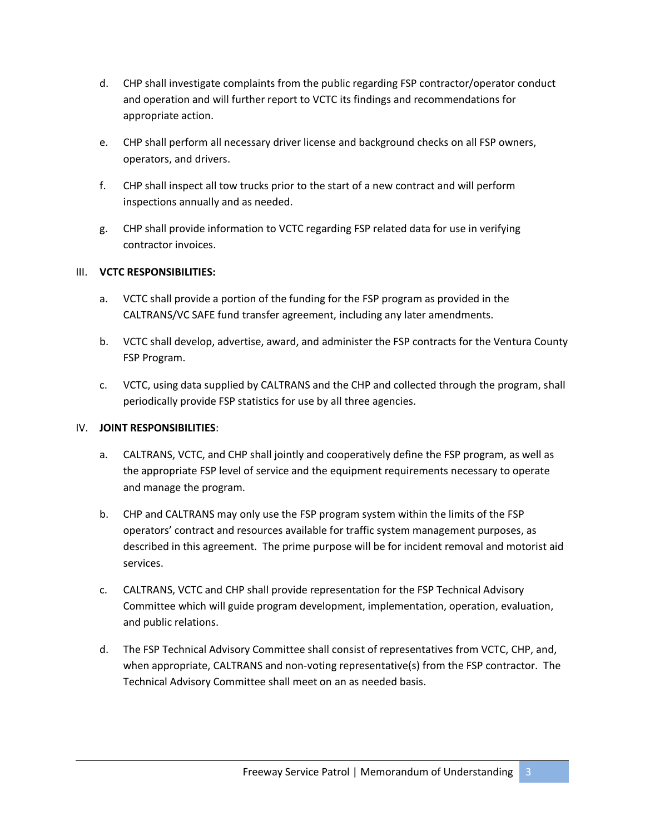- d. CHP shall investigate complaints from the public regarding FSP contractor/operator conduct and operation and will further report to VCTC its findings and recommendations for appropriate action.
- e. CHP shall perform all necessary driver license and background checks on all FSP owners, operators, and drivers.
- f. CHP shall inspect all tow trucks prior to the start of a new contract and will perform inspections annually and as needed.
- g. CHP shall provide information to VCTC regarding FSP related data for use in verifying contractor invoices.

#### III. **VCTC RESPONSIBILITIES:**

- a. VCTC shall provide a portion of the funding for the FSP program as provided in the CALTRANS/VC SAFE fund transfer agreement, including any later amendments.
- b. VCTC shall develop, advertise, award, and administer the FSP contracts for the Ventura County FSP Program.
- c. VCTC, using data supplied by CALTRANS and the CHP and collected through the program, shall periodically provide FSP statistics for use by all three agencies.

#### IV. **JOINT RESPONSIBILITIES**:

- a. CALTRANS, VCTC, and CHP shall jointly and cooperatively define the FSP program, as well as the appropriate FSP level of service and the equipment requirements necessary to operate and manage the program.
- b. CHP and CALTRANS may only use the FSP program system within the limits of the FSP operators' contract and resources available for traffic system management purposes, as described in this agreement. The prime purpose will be for incident removal and motorist aid services.
- c. CALTRANS, VCTC and CHP shall provide representation for the FSP Technical Advisory Committee which will guide program development, implementation, operation, evaluation, and public relations.
- d. The FSP Technical Advisory Committee shall consist of representatives from VCTC, CHP, and, when appropriate, CALTRANS and non-voting representative(s) from the FSP contractor. The Technical Advisory Committee shall meet on an as needed basis.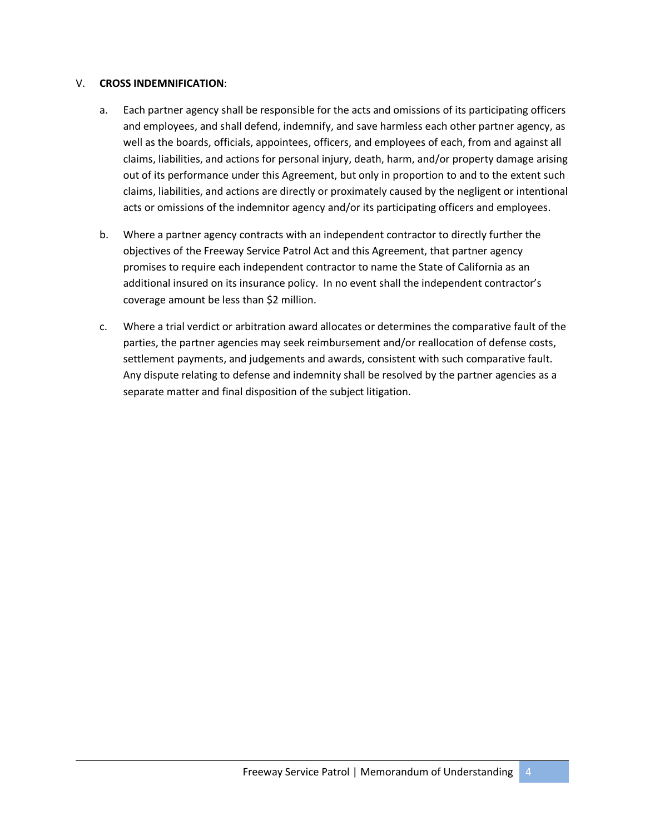#### V. **CROSS INDEMNIFICATION**:

- a. Each partner agency shall be responsible for the acts and omissions of its participating officers and employees, and shall defend, indemnify, and save harmless each other partner agency, as well as the boards, officials, appointees, officers, and employees of each, from and against all claims, liabilities, and actions for personal injury, death, harm, and/or property damage arising out of its performance under this Agreement, but only in proportion to and to the extent such claims, liabilities, and actions are directly or proximately caused by the negligent or intentional acts or omissions of the indemnitor agency and/or its participating officers and employees.
- b. Where a partner agency contracts with an independent contractor to directly further the objectives of the Freeway Service Patrol Act and this Agreement, that partner agency promises to require each independent contractor to name the State of California as an additional insured on its insurance policy. In no event shall the independent contractor's coverage amount be less than \$2 million.
- c. Where a trial verdict or arbitration award allocates or determines the comparative fault of the parties, the partner agencies may seek reimbursement and/or reallocation of defense costs, settlement payments, and judgements and awards, consistent with such comparative fault. Any dispute relating to defense and indemnity shall be resolved by the partner agencies as a separate matter and final disposition of the subject litigation.